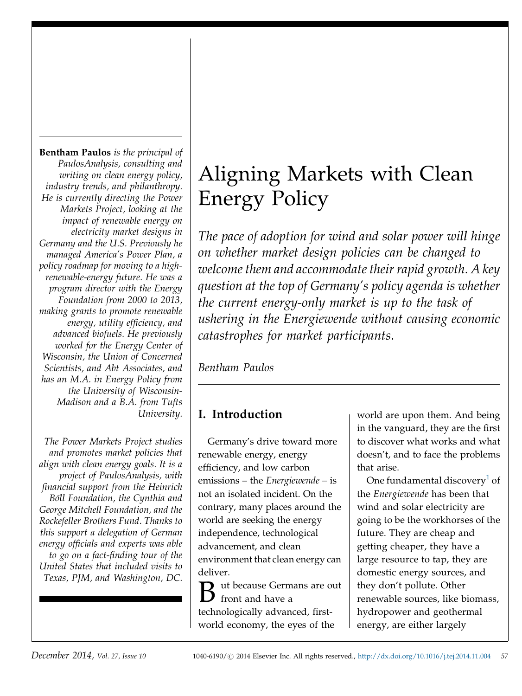Bentham Paulos is the principal of PaulosAnalysis, consulting and writing on clean energy policy, industry trends, and philanthropy. He is currently directing the Power Markets Project, looking at the impact of renewable energy on electricity market designs in Germany and the U.S. Previously he managed America's Power Plan, a policy roadmap for moving to a highrenewable-energy future. He was a program director with the Energy Foundation from 2000 to 2013, making grants to promote renewable energy, utility efficiency, and advanced biofuels. He previously worked for the Energy Center of Wisconsin, the Union of Concerned Scientists, and Abt Associates, and has an M.A. in Energy Policy from the University of Wisconsin-Madison and a B.A. from Tufts University.

The Power Markets Project studies and promotes market policies that align with clean energy goals. It is a project of PaulosAnalysis, with financial support from the Heinrich Boʻll Foundation, the Cynthia and George Mitchell Foundation, and the Rockefeller Brothers Fund. Thanks to this support a delegation of German energy officials and experts was able to go on a fact-finding tour of the United States that included visits to Texas, PJM, and Washington, DC.

# Aligning Markets with Clean Energy Policy

The pace of adoption for wind and solar power will hinge on whether market design policies can be changed to welcome them and accommodate their rapid growth. A key question at the top of Germany's policy agenda is whether the current energy-only market is up to the task of ushering in the Energiewende without causing economic catastrophes for market participants.

Bentham Paulos

# I. Introduction

Germany's drive toward more renewable energy, energy efficiency, and low carbon emissions – the Energiewende – is not an isolated incident. On the contrary, many places around the world are seeking the energy independence, technological advancement, and clean environment that clean energy can deliver.

 $\Box$  ut because Germans are out front and have a technologically advanced, firstworld economy, the eyes of the

world are upon them. And being in the vanguard, they are the first to discover what works and what doesn't, and to face the problems that arise.

One fundamental discovery<sup>[1](#page-6-0)</sup> of the Energiewende has been that wind and solar electricity are going to be the workhorses of the future. They are cheap and getting cheaper, they have a large resource to tap, they are domestic energy sources, and they don't pollute. Other renewable sources, like biomass, hydropower and geothermal energy, are either largely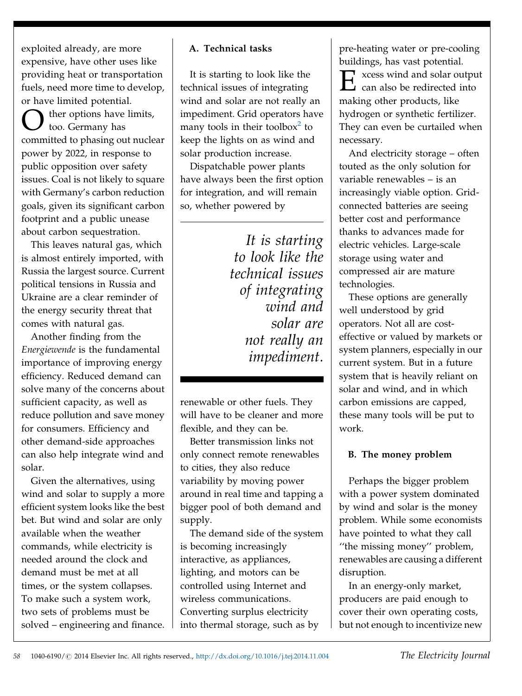exploited already, are more expensive, have other uses like providing heat or transportation fuels, need more time to develop, or have limited potential.

ther options have limits, too. Germany has committed to phasing out nuclear power by 2022, in response to public opposition over safety issues. Coal is not likely to square with Germany's carbon reduction goals, given its significant carbon footprint and a public unease about carbon sequestration.

This leaves natural gas, which is almost entirely imported, with Russia the largest source. Current political tensions in Russia and Ukraine are a clear reminder of the energy security threat that comes with natural gas.

Another finding from the Energiewende is the fundamental importance of improving energy efficiency. Reduced demand can solve many of the concerns about sufficient capacity, as well as reduce pollution and save money for consumers. Efficiency and other demand-side approaches can also help integrate wind and solar.

Given the alternatives, using wind and solar to supply a more efficient system looks like the best bet. But wind and solar are only available when the weather commands, while electricity is needed around the clock and demand must be met at all times, or the system collapses. To make such a system work, two sets of problems must be solved – engineering and finance.

### A. Technical tasks

It is starting to look like the technical issues of integrating wind and solar are not really an impediment. Grid operators have many tools in their toolbox<sup>[2](#page-6-0)</sup> to keep the lights on as wind and solar production increase.

Dispatchable power plants have always been the first option for integration, and will remain so, whether powered by

> It is starting to look like the technical issues of integrating wind and solar are not really an impediment.

renewable or other fuels. They will have to be cleaner and more flexible, and they can be.

Better transmission links not only connect remote renewables to cities, they also reduce variability by moving power around in real time and tapping a bigger pool of both demand and supply.

The demand side of the system is becoming increasingly interactive, as appliances, lighting, and motors can be controlled using Internet and wireless communications. Converting surplus electricity into thermal storage, such as by

pre-heating water or pre-cooling buildings, has vast potential.

E xcess wind and solar output<br>can also be redirected into making other products, like hydrogen or synthetic fertilizer. They can even be curtailed when necessary.

And electricity storage – often touted as the only solution for variable renewables – is an increasingly viable option. Gridconnected batteries are seeing better cost and performance thanks to advances made for electric vehicles. Large-scale storage using water and compressed air are mature technologies.

These options are generally well understood by grid operators. Not all are costeffective or valued by markets or system planners, especially in our current system. But in a future system that is heavily reliant on solar and wind, and in which carbon emissions are capped, these many tools will be put to work.

#### B. The money problem

Perhaps the bigger problem with a power system dominated by wind and solar is the money problem. While some economists have pointed to what they call ''the missing money'' problem, renewables are causing a different disruption.

In an energy-only market, producers are paid enough to cover their own operating costs, but not enough to incentivize new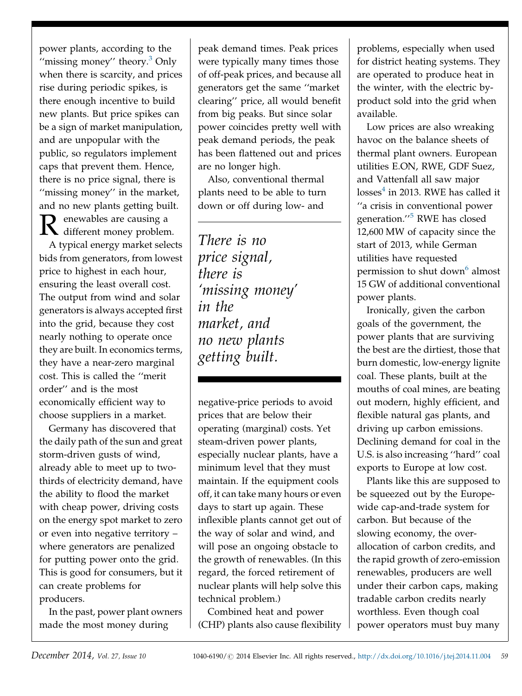power plants, according to the "missing money" theory. $3$  Only when there is scarcity, and prices rise during periodic spikes, is there enough incentive to build new plants. But price spikes can be a sign of market manipulation, and are unpopular with the public, so regulators implement caps that prevent them. Hence, there is no price signal, there is ''missing money'' in the market, and no new plants getting built. Renewables are causing a<br>different money problem. A typical energy market selects bids from generators, from lowest price to highest in each hour, ensuring the least overall cost. The output from wind and solar generators is always accepted first into the grid, because they cost nearly nothing to operate once they are built. In economics terms, they have a near-zero marginal cost. This is called the ''merit order'' and is the most economically efficient way to choose suppliers in a market.

Germany has discovered that the daily path of the sun and great storm-driven gusts of wind, already able to meet up to twothirds of electricity demand, have the ability to flood the market with cheap power, driving costs on the energy spot market to zero or even into negative territory – where generators are penalized for putting power onto the grid. This is good for consumers, but it can create problems for producers.

In the past, power plant owners made the most money during

peak demand times. Peak prices were typically many times those of off-peak prices, and because all generators get the same ''market clearing'' price, all would benefit from big peaks. But since solar power coincides pretty well with peak demand periods, the peak has been flattened out and prices are no longer high.

Also, conventional thermal plants need to be able to turn down or off during low- and

There is no price signal, there is 'missing money' in the market, and no new plants getting built.

negative-price periods to avoid prices that are below their operating (marginal) costs. Yet steam-driven power plants, especially nuclear plants, have a minimum level that they must maintain. If the equipment cools off, it can take many hours or even days to start up again. These inflexible plants cannot get out of the way of solar and wind, and will pose an ongoing obstacle to the growth of renewables. (In this regard, the forced retirement of nuclear plants will help solve this technical problem.)

Combined heat and power (CHP) plants also cause flexibility problems, especially when used for district heating systems. They are operated to produce heat in the winter, with the electric byproduct sold into the grid when available.

Low prices are also wreaking havoc on the balance sheets of thermal plant owners. European utilities E.ON, RWE, GDF Suez, and Vattenfall all saw major  $losses<sup>4</sup>$  $losses<sup>4</sup>$  $losses<sup>4</sup>$  in 2013. RWE has called it ''a crisis in conventional power generation.'['5](#page-6-0) RWE has closed 12,600 MW of capacity since the start of 2013, while German utilities have requested permission to shut down<sup>[6](#page-6-0)</sup> almost 15 GW of additional conventional power plants.

Ironically, given the carbon goals of the government, the power plants that are surviving the best are the dirtiest, those that burn domestic, low-energy lignite coal. These plants, built at the mouths of coal mines, are beating out modern, highly efficient, and flexible natural gas plants, and driving up carbon emissions. Declining demand for coal in the U.S. is also increasing ''hard'' coal exports to Europe at low cost.

Plants like this are supposed to be squeezed out by the Europewide cap-and-trade system for carbon. But because of the slowing economy, the overallocation of carbon credits, and the rapid growth of zero-emission renewables, producers are well under their carbon caps, making tradable carbon credits nearly worthless. Even though coal power operators must buy many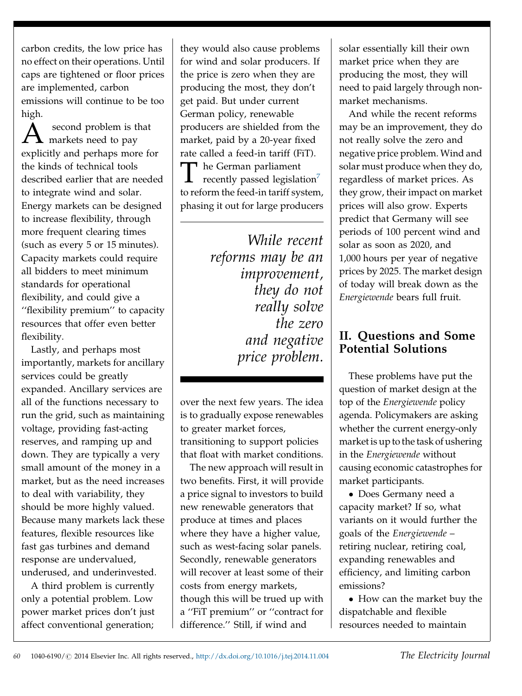carbon credits, the low price has no effect on their operations. Until caps are tightened or floor prices are implemented, carbon emissions will continue to be too high.

second problem is that markets need to pay explicitly and perhaps more for the kinds of technical tools described earlier that are needed to integrate wind and solar. Energy markets can be designed to increase flexibility, through more frequent clearing times (such as every 5 or 15 minutes). Capacity markets could require all bidders to meet minimum standards for operational flexibility, and could give a ''flexibility premium'' to capacity resources that offer even better flexibility.

Lastly, and perhaps most importantly, markets for ancillary services could be greatly expanded. Ancillary services are all of the functions necessary to run the grid, such as maintaining voltage, providing fast-acting reserves, and ramping up and down. They are typically a very small amount of the money in a market, but as the need increases to deal with variability, they should be more highly valued. Because many markets lack these features, flexible resources like fast gas turbines and demand response are undervalued, underused, and underinvested.

A third problem is currently only a potential problem. Low power market prices don't just affect conventional generation;

they would also cause problems for wind and solar producers. If the price is zero when they are producing the most, they don't get paid. But under current German policy, renewable producers are shielded from the market, paid by a 20-year fixed rate called a feed-in tariff (FiT).  $\prod$  he German parliament<br>recently passed legislation<sup>7</sup> to reform the feed-in tariff system, phasing it out for large producers

> While recent reforms may be an improvement, they do not really solve the zero and negative price problem.

over the next few years. The idea is to gradually expose renewables to greater market forces, transitioning to support policies that float with market conditions.

The new approach will result in two benefits. First, it will provide a price signal to investors to build new renewable generators that produce at times and places where they have a higher value, such as west-facing solar panels. Secondly, renewable generators will recover at least some of their costs from energy markets, though this will be trued up with a ''FiT premium'' or ''contract for difference.'' Still, if wind and

solar essentially kill their own market price when they are producing the most, they will need to paid largely through nonmarket mechanisms.

And while the recent reforms may be an improvement, they do not really solve the zero and negative price problem. Wind and solar must produce when they do, regardless of market prices. As they grow, their impact on market prices will also grow. Experts predict that Germany will see periods of 100 percent wind and solar as soon as 2020, and 1,000 hours per year of negative prices by 2025. The market design of today will break down as the Energiewende bears full fruit.

## II. Questions and Some Potential Solutions

These problems have put the question of market design at the top of the Energiewende policy agenda. Policymakers are asking whether the current energy-only market is up to the task of ushering in the Energiewende without causing economic catastrophes for market participants.

- Does Germany need a capacity market? If so, what variants on it would further the goals of the Energiewende – retiring nuclear, retiring coal, expanding renewables and efficiency, and limiting carbon emissions?

• How can the market buy the dispatchable and flexible resources needed to maintain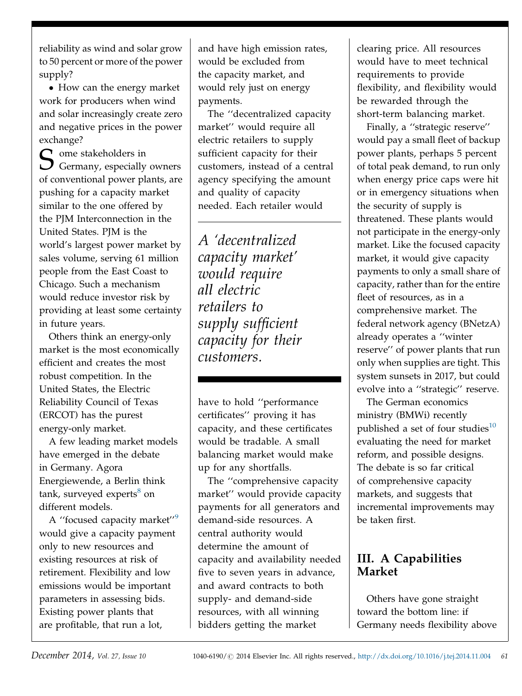reliability as wind and solar grow to 50 percent or more of the power supply?

• How can the energy market work for producers when wind and solar increasingly create zero and negative prices in the power exchange?

 $S$  ome stakeholders in<br>Germany, especially owners of conventional power plants, are pushing for a capacity market similar to the one offered by the PJM Interconnection in the United States. PJM is the world's largest power market by sales volume, serving 61 million people from the East Coast to Chicago. Such a mechanism would reduce investor risk by providing at least some certainty in future years.

Others think an energy-only market is the most economically efficient and creates the most robust competition. In the United States, the Electric Reliability Council of Texas (ERCOT) has the purest energy-only market.

A few leading market models have emerged in the debate in Germany. Agora Energiewende, a Berlin think tank, surveyed experts<sup>[8](#page-6-0)</sup> on different models.

A ''focused capacity market''[9](#page-6-0) would give a capacity payment only to new resources and existing resources at risk of retirement. Flexibility and low emissions would be important parameters in assessing bids. Existing power plants that are profitable, that run a lot,

and have high emission rates, would be excluded from the capacity market, and would rely just on energy payments.

The ''decentralized capacity market'' would require all electric retailers to supply sufficient capacity for their customers, instead of a central agency specifying the amount and quality of capacity needed. Each retailer would

A 'decentralized capacity market' would require all electric retailers to supply sufficient capacity for their customers.

have to hold ''performance certificates'' proving it has capacity, and these certificates would be tradable. A small balancing market would make up for any shortfalls.

The ''comprehensive capacity market'' would provide capacity payments for all generators and demand-side resources. A central authority would determine the amount of capacity and availability needed five to seven years in advance, and award contracts to both supply- and demand-side resources, with all winning bidders getting the market

clearing price. All resources would have to meet technical requirements to provide flexibility, and flexibility would be rewarded through the short-term balancing market.

Finally, a ''strategic reserve'' would pay a small fleet of backup power plants, perhaps 5 percent of total peak demand, to run only when energy price caps were hit or in emergency situations when the security of supply is threatened. These plants would not participate in the energy-only market. Like the focused capacity market, it would give capacity payments to only a small share of capacity, rather than for the entire fleet of resources, as in a comprehensive market. The federal network agency (BNetzA) already operates a ''winter reserve'' of power plants that run only when supplies are tight. This system sunsets in 2017, but could evolve into a ''strategic'' reserve.

The German economics ministry (BMWi) recently published a set of four studies  $^{\rm 10}$ evaluating the need for market reform, and possible designs. The debate is so far critical of comprehensive capacity markets, and suggests that incremental improvements may be taken first.

## III. A Capabilities Market

Others have gone straight toward the bottom line: if Germany needs flexibility above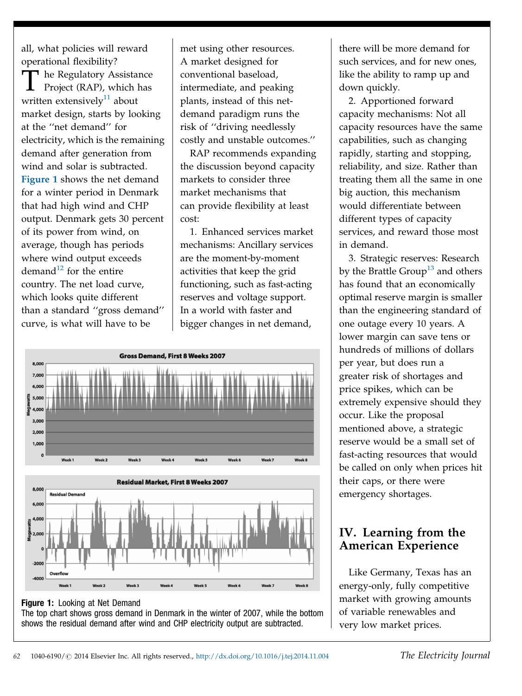all, what policies will reward operational flexibility?

**T** he Regulatory Assistance Project (RAP), which has written extensively<sup>11</sup> about market design, starts by looking at the ''net demand'' for electricity, which is the remaining demand after generation from wind and solar is subtracted. Figure 1 shows the net demand for a winter period in Denmark that had high wind and CHP output. Denmark gets 30 percent of its power from wind, on average, though has periods where wind output exceeds demand $^{12}$  $^{12}$  $^{12}$  for the entire country. The net load curve, which looks quite different than a standard ''gross demand'' curve, is what will have to be

met using other resources. A market designed for conventional baseload, intermediate, and peaking plants, instead of this netdemand paradigm runs the risk of ''driving needlessly costly and unstable outcomes.''

RAP recommends expanding the discussion beyond capacity markets to consider three market mechanisms that can provide flexibility at least cost:

1. Enhanced services market mechanisms: Ancillary services are the moment-by-moment activities that keep the grid functioning, such as fast-acting reserves and voltage support. In a world with faster and bigger changes in net demand,



#### Figure 1: Looking at Net Demand

The top chart shows gross demand in Denmark in the winter of 2007, while the bottom shows the residual demand after wind and CHP electricity output are subtracted.

there will be more demand for such services, and for new ones. like the ability to ramp up and down quickly.

2. Apportioned forward capacity mechanisms: Not all capacity resources have the same capabilities, such as changing rapidly, starting and stopping, reliability, and size. Rather than treating them all the same in one big auction, this mechanism would differentiate between different types of capacity services, and reward those most in demand.

3. Strategic reserves: Research by the Brattle Group<sup>13</sup> and others has found that an economically optimal reserve margin is smaller than the engineering standard of one outage every 10 years. A lower margin can save tens or hundreds of millions of dollars per year, but does run a greater risk of shortages and price spikes, which can be extremely expensive should they occur. Like the proposal mentioned above, a strategic reserve would be a small set of fast-acting resources that would be called on only when prices hit their caps, or there were emergency shortages.

## IV. Learning from the American Experience

Like Germany, Texas has an energy-only, fully competitive market with growing amounts of variable renewables and very low market prices.